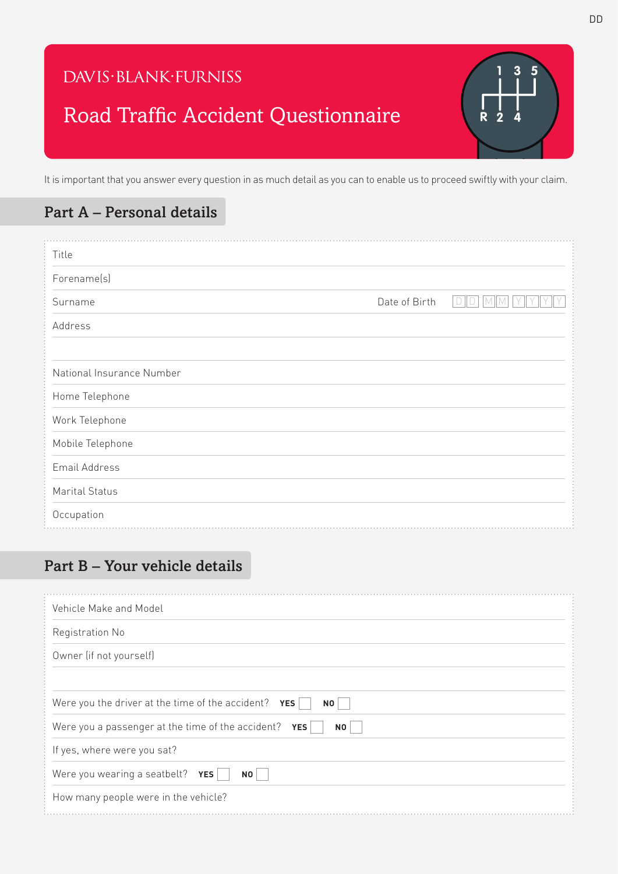### DAVIS·BLANK·FURNISS

## Road Traffic Accident Questionnaire

It is important that you answer every question in as much detail as you can to enable us to proceed swiftly with your claim.

#### Part A – Personal details

| Title                     |               |  |
|---------------------------|---------------|--|
| Forename(s)               |               |  |
| Surname                   | Date of Birth |  |
| Address                   |               |  |
|                           |               |  |
| National Insurance Number |               |  |
| Home Telephone            |               |  |
| Work Telephone            |               |  |
| Mobile Telephone          |               |  |
| Email Address             |               |  |
| Marital Status            |               |  |
| Occupation                |               |  |

#### Part B – Your vehicle details

| Vehicle Make and Model                                        |  |
|---------------------------------------------------------------|--|
| Registration No                                               |  |
| Owner (if not yourself)                                       |  |
|                                                               |  |
| Were you the driver at the time of the accident? $YES$<br>NO  |  |
| Were you a passenger at the time of the accident? $YES$<br>NO |  |
| If yes, where were you sat?                                   |  |
| Were you wearing a seatbelt? YES<br>N <sub>0</sub>            |  |
| How many people were in the vehicle?                          |  |

**R**

**1 3 5**

**2 4**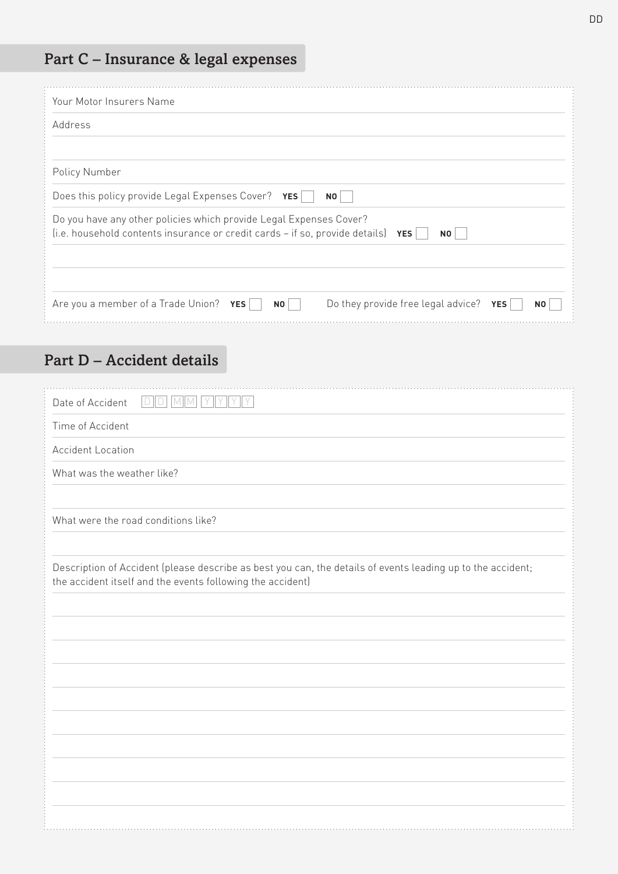# Part C – Insurance & legal expenses

| Your Motor Insurers Name                                                                                                                                              |
|-----------------------------------------------------------------------------------------------------------------------------------------------------------------------|
| Address                                                                                                                                                               |
|                                                                                                                                                                       |
| Policy Number                                                                                                                                                         |
| Does this policy provide Legal Expenses Cover? YES<br>NO <sub>1</sub>                                                                                                 |
| Do you have any other policies which provide Legal Expenses Cover?<br>(i.e. household contents insurance or credit cards $-$ if so, provide details) YES<br><b>NO</b> |
| Are you a member of a Trade Union? YES<br>Do they provide free legal advice? $YES$<br><b>NO</b><br>N <sub>0</sub>                                                     |

### Part D – Accident details

| D D <br> Y  Y  Y  Y<br>Date of Accident<br>$M$ $M$                                                                                                                        |
|---------------------------------------------------------------------------------------------------------------------------------------------------------------------------|
| Time of Accident                                                                                                                                                          |
| <b>Accident Location</b>                                                                                                                                                  |
| What was the weather like?                                                                                                                                                |
|                                                                                                                                                                           |
| What were the road conditions like?                                                                                                                                       |
|                                                                                                                                                                           |
| Description of Accident (please describe as best you can, the details of events leading up to the accident;<br>the accident itself and the events following the accident) |
|                                                                                                                                                                           |
|                                                                                                                                                                           |
|                                                                                                                                                                           |
|                                                                                                                                                                           |
|                                                                                                                                                                           |
|                                                                                                                                                                           |
|                                                                                                                                                                           |
|                                                                                                                                                                           |
|                                                                                                                                                                           |
|                                                                                                                                                                           |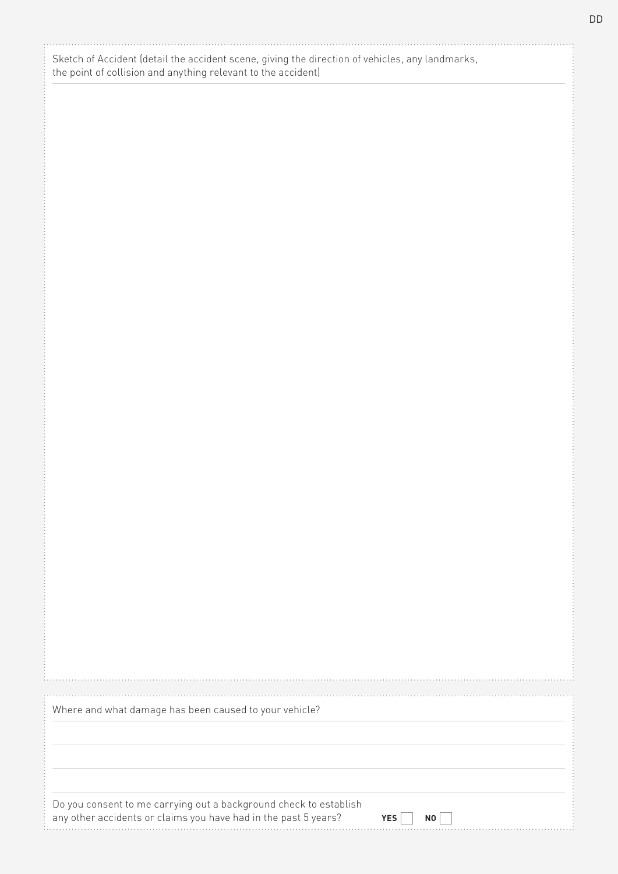| Sketch of Accident (detail the accident scene, giving the direction of vehicles, any landmarks, |
|-------------------------------------------------------------------------------------------------|
| the point of collision and anything relevant to the accident)                                   |

|  |  |  |  | Where and what damage has been caused to your vehicle? |
|--|--|--|--|--------------------------------------------------------|
|  |  |  |  |                                                        |

Do you consent to me carrying out a background check to establish any other accidents or claims you have had in the past 5 years? 

| L      | ี่ ผก |  |
|--------|-------|--|
| $\sim$ |       |  |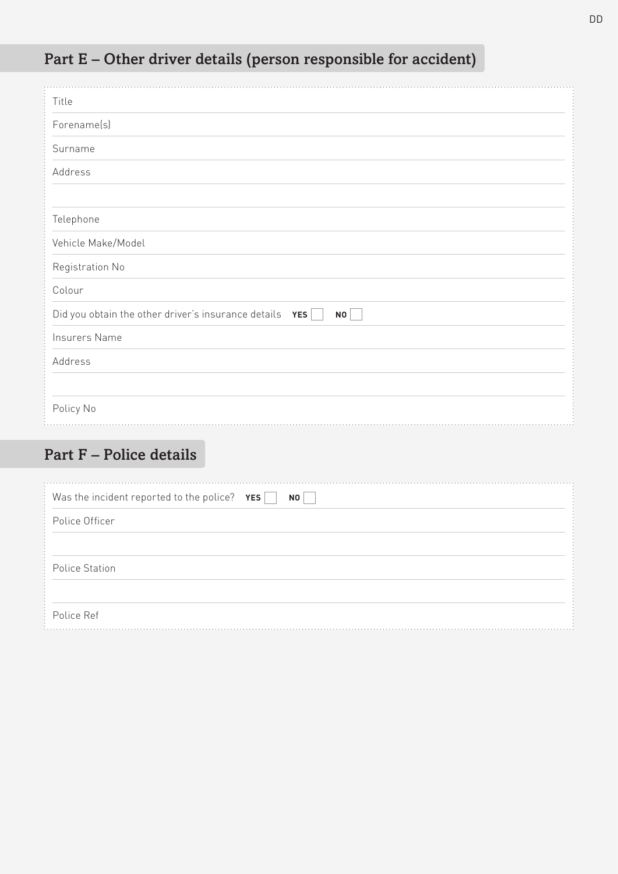| Part E – Other driver details (person responsible for accident) |
|-----------------------------------------------------------------|
|-----------------------------------------------------------------|

| Title                                                         |
|---------------------------------------------------------------|
| Forename(s)                                                   |
| Surname                                                       |
| Address                                                       |
|                                                               |
| Telephone                                                     |
| Vehicle Make/Model                                            |
| Registration No                                               |
| Colour                                                        |
| Did you obtain the other driver's insurance details YES<br>NO |
| Insurers Name                                                 |
| Address                                                       |
|                                                               |
| Policy No                                                     |

## Part F – Police details

| Was the incident reported to the police? $YES$<br>NO |  |
|------------------------------------------------------|--|
| Police Officer                                       |  |
|                                                      |  |
| <b>Police Station</b>                                |  |
|                                                      |  |
| Police Ref                                           |  |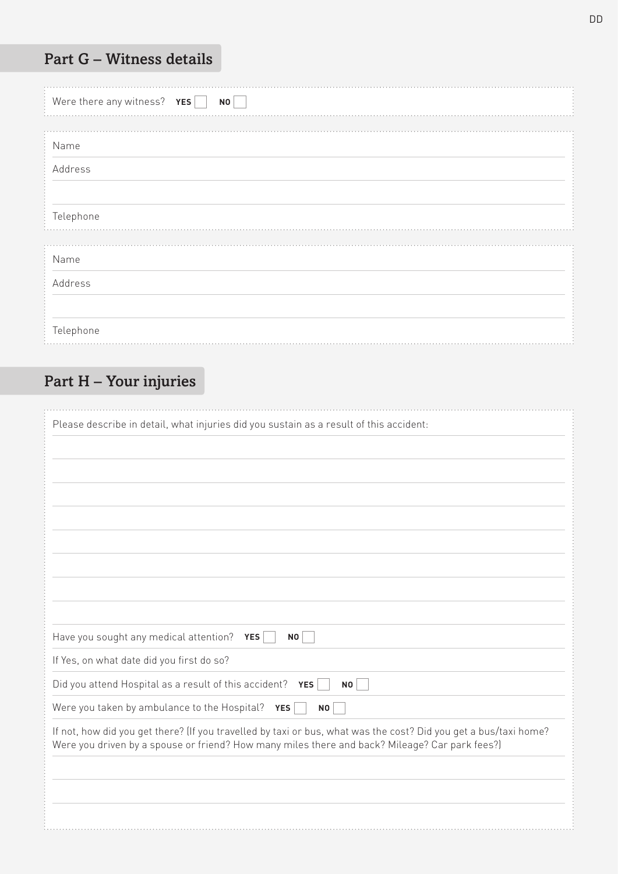### Part G – Witness details

| Were there any witness? $YES$<br>NO <sub>1</sub> |  |
|--------------------------------------------------|--|
| Name                                             |  |
| Address                                          |  |
|                                                  |  |
| Telephone                                        |  |
| Name                                             |  |
| Address                                          |  |
|                                                  |  |
| Telephone                                        |  |

## Part H – Your injuries

| Please describe in detail, what injuries did you sustain as a result of this accident:                                                                                                                             |
|--------------------------------------------------------------------------------------------------------------------------------------------------------------------------------------------------------------------|
|                                                                                                                                                                                                                    |
|                                                                                                                                                                                                                    |
|                                                                                                                                                                                                                    |
|                                                                                                                                                                                                                    |
|                                                                                                                                                                                                                    |
|                                                                                                                                                                                                                    |
|                                                                                                                                                                                                                    |
|                                                                                                                                                                                                                    |
|                                                                                                                                                                                                                    |
| Have you sought any medical attention? YES<br>NO                                                                                                                                                                   |
| If Yes, on what date did you first do so?                                                                                                                                                                          |
| Did you attend Hospital as a result of this accident? YES<br><b>NO</b>                                                                                                                                             |
| Were you taken by ambulance to the Hospital?<br><b>YES</b><br><b>NO</b>                                                                                                                                            |
| If not, how did you get there? (If you travelled by taxi or bus, what was the cost? Did you get a bus/taxi home?<br>Were you driven by a spouse or friend? How many miles there and back? Mileage? Car park fees?) |
|                                                                                                                                                                                                                    |
|                                                                                                                                                                                                                    |
|                                                                                                                                                                                                                    |
|                                                                                                                                                                                                                    |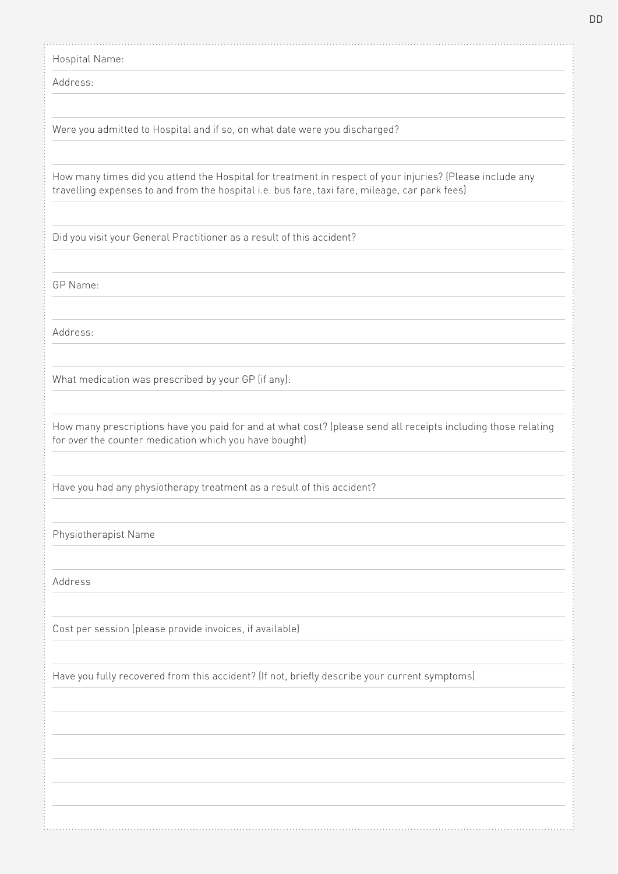Hospital Name: 

Address:

Were you admitted to Hospital and if so, on what date were you discharged?

How many times did you attend the Hospital for treatment in respect of your injuries? (Please include any travelling expenses to and from the hospital i.e. bus fare, taxi fare, mileage, car park fees)

Did you visit your General Practitioner as a result of this accident?

GP Name:

Address:

What medication was prescribed by your GP (if any):

How many prescriptions have you paid for and at what cost? (please send all receipts including those relating for over the counter medication which you have bought)

Have you had any physiotherapy treatment as a result of this accident?

Physiotherapist Name

Address

Cost per session (please provide invoices, if available)

Have you fully recovered from this accident? (If not, briefly describe your current symptoms)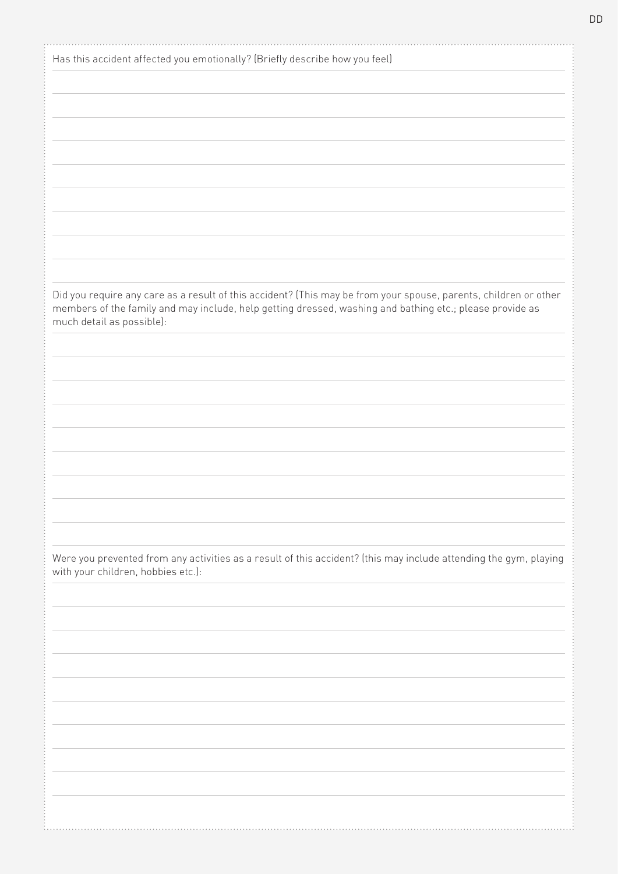| Has this accident affected you emotionally? (Briefly describe how you feel)                                                                             |
|---------------------------------------------------------------------------------------------------------------------------------------------------------|
|                                                                                                                                                         |
|                                                                                                                                                         |
|                                                                                                                                                         |
|                                                                                                                                                         |
|                                                                                                                                                         |
|                                                                                                                                                         |
|                                                                                                                                                         |
|                                                                                                                                                         |
|                                                                                                                                                         |
|                                                                                                                                                         |
|                                                                                                                                                         |
|                                                                                                                                                         |
|                                                                                                                                                         |
|                                                                                                                                                         |
| Did you require any care as a result of this accident? (This may be from your spouse, parents, children or other                                        |
| members of the family and may include, help getting dressed, washing and bathing etc.; please provide as<br>much detail as possible):                   |
|                                                                                                                                                         |
|                                                                                                                                                         |
|                                                                                                                                                         |
|                                                                                                                                                         |
|                                                                                                                                                         |
|                                                                                                                                                         |
|                                                                                                                                                         |
|                                                                                                                                                         |
|                                                                                                                                                         |
|                                                                                                                                                         |
|                                                                                                                                                         |
|                                                                                                                                                         |
|                                                                                                                                                         |
|                                                                                                                                                         |
| Were you prevented from any activities as a result of this accident? (this may include attending the gym, playing<br>with your children, hobbies etc.): |
|                                                                                                                                                         |
|                                                                                                                                                         |
|                                                                                                                                                         |
|                                                                                                                                                         |
|                                                                                                                                                         |
|                                                                                                                                                         |
|                                                                                                                                                         |
|                                                                                                                                                         |
|                                                                                                                                                         |
|                                                                                                                                                         |
|                                                                                                                                                         |
|                                                                                                                                                         |
|                                                                                                                                                         |
|                                                                                                                                                         |
|                                                                                                                                                         |

DD